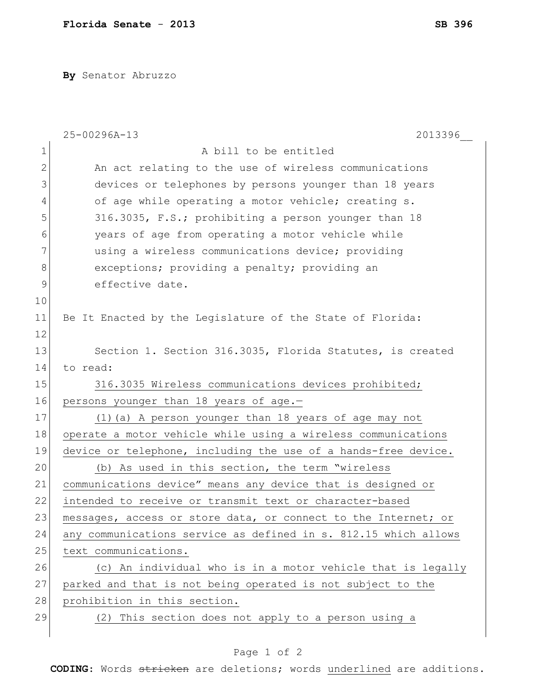**By** Senator Abruzzo

|    | 2013396<br>25-00296A-13                                         |
|----|-----------------------------------------------------------------|
| 1  | A bill to be entitled                                           |
| 2  | An act relating to the use of wireless communications           |
| 3  | devices or telephones by persons younger than 18 years          |
| 4  | of age while operating a motor vehicle; creating s.             |
| 5  | 316.3035, F.S.; prohibiting a person younger than 18            |
| 6  | years of age from operating a motor vehicle while               |
| 7  | using a wireless communications device; providing               |
| 8  | exceptions; providing a penalty; providing an                   |
| 9  | effective date.                                                 |
| 10 |                                                                 |
| 11 | Be It Enacted by the Legislature of the State of Florida:       |
| 12 |                                                                 |
| 13 | Section 1. Section 316.3035, Florida Statutes, is created       |
| 14 | to read:                                                        |
| 15 | 316.3035 Wireless communications devices prohibited;            |
| 16 | persons younger than 18 years of age.-                          |
| 17 | (1) (a) A person younger than 18 years of age may not           |
| 18 | operate a motor vehicle while using a wireless communications   |
| 19 | device or telephone, including the use of a hands-free device.  |
| 20 | (b) As used in this section, the term "wireless                 |
| 21 | communications device" means any device that is designed or     |
| 22 | intended to receive or transmit text or character-based         |
| 23 | messages, access or store data, or connect to the Internet; or  |
| 24 | any communications service as defined in s. 812.15 which allows |
| 25 | text communications.                                            |
| 26 | (c) An individual who is in a motor vehicle that is legally     |
| 27 | parked and that is not being operated is not subject to the     |
| 28 | prohibition in this section.                                    |
| 29 | (2) This section does not apply to a person using a             |
|    |                                                                 |

**CODING**: Words stricken are deletions; words underlined are additions.